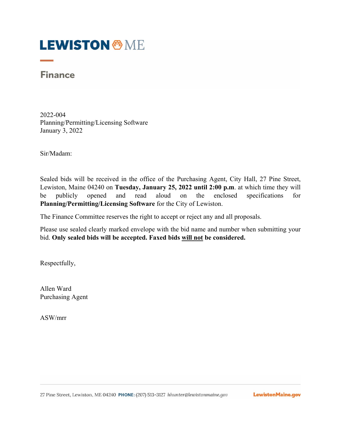# **LEWISTON & ME**

## **Finance**

2022-004 Planning/Permitting/Licensing Software January 3, 2022

Sir/Madam:

Sealed bids will be received in the office of the Purchasing Agent, City Hall, 27 Pine Street, Lewiston, Maine 04240 on **Tuesday, January 25, 2022 until 2:00 p.m**. at which time they will be publicly opened and read aloud on the enclosed specifications for **Planning/Permitting/Licensing Software** for the City of Lewiston.

The Finance Committee reserves the right to accept or reject any and all proposals.

Please use sealed clearly marked envelope with the bid name and number when submitting your bid. **Only sealed bids will be accepted. Faxed bids will not be considered.**

Respectfully,

Allen Ward Purchasing Agent

ASW/mrr

LewistonMaine.gov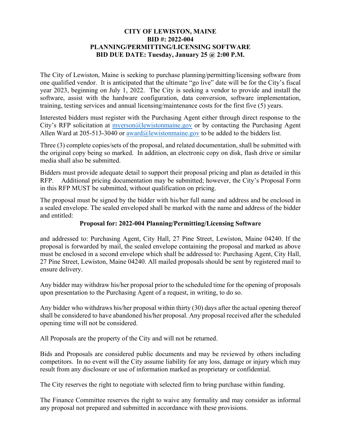### **CITY OF LEWISTON, MAINE BID #: 2022-004 PLANNING/PERMITTING/LICENSING SOFTWARE BID DUE DATE: Tuesday, January 25 @ 2:00 P.M.**

The City of Lewiston, Maine is seeking to purchase planning/permitting/licensing software from one qualified vendor. It is anticipated that the ultimate "go live" date will be for the City's fiscal year 2023, beginning on July 1, 2022. The City is seeking a vendor to provide and install the software, assist with the hardware configuration, data conversion, software implementation, training, testing services and annual licensing/maintenance costs for the first five (5) years.

Interested bidders must register with the Purchasing Agent either through direct response to the City's RFP solicitation at *myerson@lewistonmaine.gov* or by contacting the Purchasing Agent Allen Ward at 205-513-3040 or  $award@lewistomnaire.gov$  to be added to the bidders list.

Three (3) complete copies/sets of the proposal, and related documentation, shall be submitted with the original copy being so marked. In addition, an electronic copy on disk, flash drive or similar media shall also be submitted.

Bidders must provide adequate detail to support their proposal pricing and plan as detailed in this RFP. Additional pricing documentation may be submitted; however, the City's Proposal Form in this RFP MUST be submitted, without qualification on pricing.

The proposal must be signed by the bidder with his/her full name and address and be enclosed in a sealed envelope. The sealed enveloped shall be marked with the name and address of the bidder and entitled:

### **Proposal for: 2022-004 Planning/Permitting/Licensing Software**

and addressed to: Purchasing Agent, City Hall, 27 Pine Street, Lewiston, Maine 04240. If the proposal is forwarded by mail, the sealed envelope containing the proposal and marked as above must be enclosed in a second envelope which shall be addressed to: Purchasing Agent, City Hall, 27 Pine Street, Lewiston, Maine 04240. All mailed proposals should be sent by registered mail to ensure delivery.

Any bidder may withdraw his/her proposal prior to the scheduled time for the opening of proposals upon presentation to the Purchasing Agent of a request, in writing, to do so.

Any bidder who withdraws his/her proposal within thirty (30) days after the actual opening thereof shall be considered to have abandoned his/her proposal. Any proposal received after the scheduled opening time will not be considered.

All Proposals are the property of the City and will not be returned.

Bids and Proposals are considered public documents and may be reviewed by others including competitors. In no event will the City assume liability for any loss, damage or injury which may result from any disclosure or use of information marked as proprietary or confidential.

The City reserves the right to negotiate with selected firm to bring purchase within funding.

The Finance Committee reserves the right to waive any formality and may consider as informal any proposal not prepared and submitted in accordance with these provisions.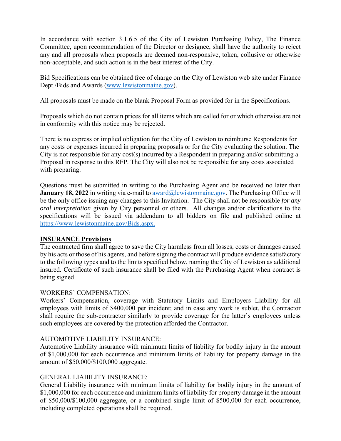In accordance with section 3.1.6.5 of the City of Lewiston Purchasing Policy, The Finance Committee, upon recommendation of the Director or designee, shall have the authority to reject any and all proposals when proposals are deemed non-responsive, token, collusive or otherwise non-acceptable, and such action is in the best interest of the City.

Bid Specifications can be obtained free of charge on the City of Lewiston web site under Finance Dept./Bids and Awards (www.lewistonmaine.gov).

All proposals must be made on the blank Proposal Form as provided for in the Specifications.

Proposals which do not contain prices for all items which are called for or which otherwise are not in conformity with this notice may be rejected.

There is no express or implied obligation for the City of Lewiston to reimburse Respondents for any costs or expenses incurred in preparing proposals or for the City evaluating the solution. The City is not responsible for any cost(s) incurred by a Respondent in preparing and/or submitting a Proposal in response to this RFP. The City will also not be responsible for any costs associated with preparing.

Questions must be submitted in writing to the Purchasing Agent and be received no later than **January 18, 2022** in writing via e-mail to award@lewistonmaine.gov. The Purchasing Office will be the only office issuing any changes to this Invitation. The City shall not be responsible *for any oral interpretation* given by City personnel or others. All changes and/or clarifications to the specifications will be issued via addendum to all bidders on file and published online at https://www.lewistonmaine.gov/Bids.aspx.

### **INSURANCE Provisions**

The contracted firm shall agree to save the City harmless from all losses, costs or damages caused by his acts or those of his agents, and before signing the contract will produce evidence satisfactory to the following types and to the limits specified below, naming the City of Lewiston as additional insured. Certificate of such insurance shall be filed with the Purchasing Agent when contract is being signed.

### WORKERS' COMPENSATION:

Workers' Compensation, coverage with Statutory Limits and Employers Liability for all employees with limits of \$400,000 per incident; and in case any work is sublet, the Contractor shall require the sub-contractor similarly to provide coverage for the latter's employees unless such employees are covered by the protection afforded the Contractor.

### AUTOMOTIVE LIABILITY INSURANCE:

Automotive Liability insurance with minimum limits of liability for bodily injury in the amount of \$1,000,000 for each occurrence and minimum limits of liability for property damage in the amount of \$50,000/\$100,000 aggregate.

### GENERAL LIABILITY INSURANCE:

General Liability insurance with minimum limits of liability for bodily injury in the amount of \$1,000,000 for each occurrence and minimum limits of liability for property damage in the amount of \$50,000/\$100,000 aggregate, or a combined single limit of \$500,000 for each occurrence, including completed operations shall be required.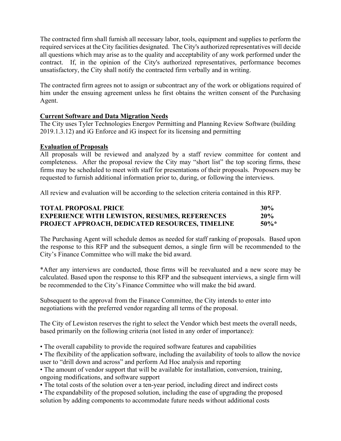The contracted firm shall furnish all necessary labor, tools, equipment and supplies to perform the required services at the City facilities designated. The City's authorized representatives will decide all questions which may arise as to the quality and acceptability of any work performed under the contract. If, in the opinion of the City's authorized representatives, performance becomes unsatisfactory, the City shall notify the contracted firm verbally and in writing.

The contracted firm agrees not to assign or subcontract any of the work or obligations required of him under the ensuing agreement unless he first obtains the written consent of the Purchasing Agent.

### **Current Software and Data Migration Needs**

The City uses Tyler Technologies Energov Permitting and Planning Review Software (building 2019.1.3.12) and iG Enforce and iG inspect for its licensing and permitting

### **Evaluation of Proposals**

All proposals will be reviewed and analyzed by a staff review committee for content and completeness. After the proposal review the City may "short list" the top scoring firms, these firms may be scheduled to meet with staff for presentations of their proposals. Proposers may be requested to furnish additional information prior to, during, or following the interviews.

All review and evaluation will be according to the selection criteria contained in this RFP.

| <b>TOTAL PROPOSAL PRICE</b>                            | 30%     |
|--------------------------------------------------------|---------|
| <b>EXPERIENCE WITH LEWISTON, RESUMES, REFERENCES</b>   | 20%     |
| <b>PROJECT APPROACH, DEDICATED RESOURCES, TIMELINE</b> | $50\%*$ |

The Purchasing Agent will schedule demos as needed for staff ranking of proposals. Based upon the response to this RFP and the subsequent demos, a single firm will be recommended to the City's Finance Committee who will make the bid award.

\*After any interviews are conducted, those firms will be reevaluated and a new score may be calculated. Based upon the response to this RFP and the subsequent interviews, a single firm will be recommended to the City's Finance Committee who will make the bid award.

Subsequent to the approval from the Finance Committee, the City intends to enter into negotiations with the preferred vendor regarding all terms of the proposal.

The City of Lewiston reserves the right to select the Vendor which best meets the overall needs, based primarily on the following criteria (not listed in any order of importance):

• The overall capability to provide the required software features and capabilities

• The flexibility of the application software, including the availability of tools to allow the novice user to "drill down and across" and perform Ad Hoc analysis and reporting

• The amount of vendor support that will be available for installation, conversion, training, ongoing modifications, and software support

- The total costs of the solution over a ten-year period, including direct and indirect costs
- The expandability of the proposed solution, including the ease of upgrading the proposed solution by adding components to accommodate future needs without additional costs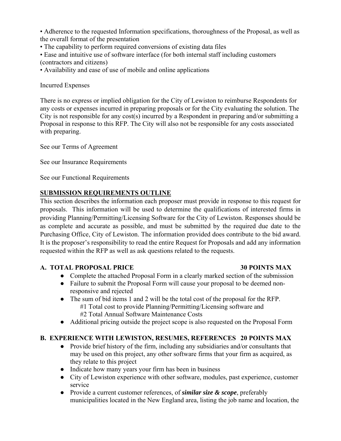• Adherence to the requested Information specifications, thoroughness of the Proposal, as well as the overall format of the presentation

• The capability to perform required conversions of existing data files

• Ease and intuitive use of software interface (for both internal staff including customers (contractors and citizens)

• Availability and ease of use of mobile and online applications

Incurred Expenses

There is no express or implied obligation for the City of Lewiston to reimburse Respondents for any costs or expenses incurred in preparing proposals or for the City evaluating the solution. The City is not responsible for any cost(s) incurred by a Respondent in preparing and/or submitting a Proposal in response to this RFP. The City will also not be responsible for any costs associated with preparing.

See our Terms of Agreement

See our Insurance Requirements

See our Functional Requirements

### **SUBMISSION REQUIREMENTS OUTLINE**

This section describes the information each proposer must provide in response to this request for proposals. This information will be used to determine the qualifications of interested firms in providing Planning/Permitting/Licensing Software for the City of Lewiston. Responses should be as complete and accurate as possible, and must be submitted by the required due date to the Purchasing Office, City of Lewiston. The information provided does contribute to the bid award. It is the proposer's responsibility to read the entire Request for Proposals and add any information requested within the RFP as well as ask questions related to the requests.

### **A. TOTAL PROPOSAL PRICE 30 POINTS MAX**

- Complete the attached Proposal Form in a clearly marked section of the submission
- Failure to submit the Proposal Form will cause your proposal to be deemed nonresponsive and rejected
- The sum of bid items 1 and 2 will be the total cost of the proposal for the RFP. #1 Total cost to provide Planning/Permitting/Licensing software and #2 Total Annual Software Maintenance Costs
- Additional pricing outside the project scope is also requested on the Proposal Form

### **B. EXPERIENCE WITH LEWISTON, RESUMES, REFERENCES 20 POINTS MAX**

- Provide brief history of the firm, including any subsidiaries and/or consultants that may be used on this project, any other software firms that your firm as acquired, as they relate to this project
- Indicate how many years your firm has been in business
- City of Lewiston experience with other software, modules, past experience, customer service
- Provide a current customer references, of *similar size & scope*, preferably municipalities located in the New England area, listing the job name and location, the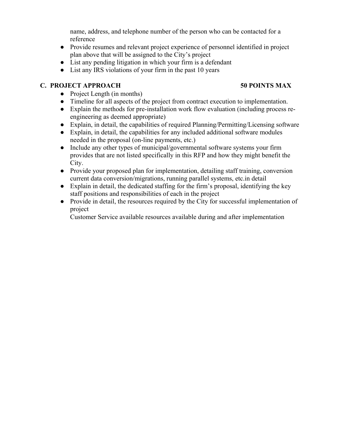name, address, and telephone number of the person who can be contacted for a reference

- Provide resumes and relevant project experience of personnel identified in project plan above that will be assigned to the City's project
- List any pending litigation in which your firm is a defendant
- List any IRS violations of your firm in the past 10 years

### **C. PROJECT APPROACH 50 POINTS MAX**

- Project Length (in months)
- Timeline for all aspects of the project from contract execution to implementation.
- Explain the methods for pre-installation work flow evaluation (including process reengineering as deemed appropriate)
- Explain, in detail, the capabilities of required Planning/Permitting/Licensing software
- Explain, in detail, the capabilities for any included additional software modules needed in the proposal (on-line payments, etc.)
- Include any other types of municipal/governmental software systems your firm provides that are not listed specifically in this RFP and how they might benefit the City.
- Provide your proposed plan for implementation, detailing staff training, conversion current data conversion/migrations, running parallel systems, etc.in detail
- Explain in detail, the dedicated staffing for the firm's proposal, identifying the key staff positions and responsibilities of each in the project
- Provide in detail, the resources required by the City for successful implementation of project

Customer Service available resources available during and after implementation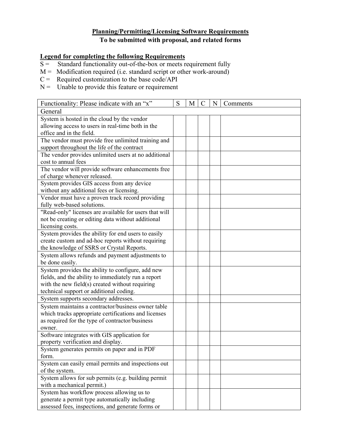### **Planning/Permitting/Licensing Software Requirements To be submitted with proposal, and related forms**

### **Legend for completing the following Requirements**

- $S =$ Standard functionality out-of-the-box or meets requirement fully
- $M =$  Modification required (i.e. standard script or other work-around)
- $C =$  Required customization to the base code/API
- $N =$  Unable to provide this feature or requirement

| Functionality: Please indicate with an "x"             | S | M | N | Comments |
|--------------------------------------------------------|---|---|---|----------|
| General                                                |   |   |   |          |
| System is hosted in the cloud by the vendor            |   |   |   |          |
| allowing access to users in real-time both in the      |   |   |   |          |
| office and in the field.                               |   |   |   |          |
| The vendor must provide free unlimited training and    |   |   |   |          |
| support throughout the life of the contract            |   |   |   |          |
| The vendor provides unlimited users at no additional   |   |   |   |          |
| cost to annual fees                                    |   |   |   |          |
| The vendor will provide software enhancements free     |   |   |   |          |
| of charge whenever released.                           |   |   |   |          |
| System provides GIS access from any device             |   |   |   |          |
| without any additional fees or licensing.              |   |   |   |          |
| Vendor must have a proven track record providing       |   |   |   |          |
| fully web-based solutions.                             |   |   |   |          |
| "Read-only" licenses are available for users that will |   |   |   |          |
| not be creating or editing data without additional     |   |   |   |          |
| licensing costs.                                       |   |   |   |          |
| System provides the ability for end users to easily    |   |   |   |          |
| create custom and ad-hoc reports without requiring     |   |   |   |          |
| the knowledge of SSRS or Crystal Reports.              |   |   |   |          |
| System allows refunds and payment adjustments to       |   |   |   |          |
| be done easily.                                        |   |   |   |          |
| System provides the ability to configure, add new      |   |   |   |          |
| fields, and the ability to immediately run a report    |   |   |   |          |
| with the new field(s) created without requiring        |   |   |   |          |
| technical support or additional coding.                |   |   |   |          |
| System supports secondary addresses.                   |   |   |   |          |
| System maintains a contractor/business owner table     |   |   |   |          |
| which tracks appropriate certifications and licenses   |   |   |   |          |
| as required for the type of contractor/business        |   |   |   |          |
| owner.                                                 |   |   |   |          |
| Software integrates with GIS application for           |   |   |   |          |
| property verification and display.                     |   |   |   |          |
| System generates permits on paper and in PDF           |   |   |   |          |
| form.                                                  |   |   |   |          |
| System can easily email permits and inspections out    |   |   |   |          |
| of the system.                                         |   |   |   |          |
| System allows for sub permits (e.g. building permit    |   |   |   |          |
| with a mechanical permit.)                             |   |   |   |          |
| System has workflow process allowing us to             |   |   |   |          |
| generate a permit type automatically including         |   |   |   |          |
| assessed fees, inspections, and generate forms or      |   |   |   |          |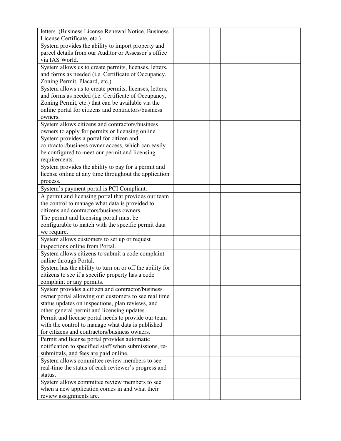| letters. (Business License Renewal Notice, Business      |  |  |  |
|----------------------------------------------------------|--|--|--|
| License Certificate, etc.)                               |  |  |  |
| System provides the ability to import property and       |  |  |  |
| parcel details from our Auditor or Assessor's office     |  |  |  |
| via IAS World.                                           |  |  |  |
| System allows us to create permits, licenses, letters,   |  |  |  |
| and forms as needed (i.e. Certificate of Occupancy,      |  |  |  |
| Zoning Permit, Placard, etc.).                           |  |  |  |
| System allows us to create permits, licenses, letters,   |  |  |  |
| and forms as needed (i.e. Certificate of Occupancy,      |  |  |  |
| Zoning Permit, etc.) that can be available via the       |  |  |  |
| online portal for citizens and contractors/business      |  |  |  |
| owners.                                                  |  |  |  |
| System allows citizens and contractors/business          |  |  |  |
| owners to apply for permits or licensing online.         |  |  |  |
| System provides a portal for citizen and                 |  |  |  |
| contractor/business owner access, which can easily       |  |  |  |
| be configured to meet our permit and licensing           |  |  |  |
| requirements.                                            |  |  |  |
| System provides the ability to pay for a permit and      |  |  |  |
| license online at any time throughout the application    |  |  |  |
| process.                                                 |  |  |  |
| System's payment portal is PCI Compliant.                |  |  |  |
| A permit and licensing portal that provides our team     |  |  |  |
| the control to manage what data is provided to           |  |  |  |
| citizens and contractors/business owners.                |  |  |  |
| The permit and licensing portal must be                  |  |  |  |
| configurable to match with the specific permit data      |  |  |  |
| we require.                                              |  |  |  |
| System allows customers to set up or request             |  |  |  |
| inspections online from Portal.                          |  |  |  |
| System allows citizens to submit a code complaint        |  |  |  |
| online through Portal.                                   |  |  |  |
| System has the ability to turn on or off the ability for |  |  |  |
| citizens to see if a specific property has a code        |  |  |  |
| complaint or any permits.                                |  |  |  |
| System provides a citizen and contractor/business        |  |  |  |
| owner portal allowing our customers to see real time     |  |  |  |
| status updates on inspections, plan reviews, and         |  |  |  |
| other general permit and licensing updates.              |  |  |  |
| Permit and license portal needs to provide our team      |  |  |  |
| with the control to manage what data is published        |  |  |  |
| for citizens and contractors/business owners.            |  |  |  |
| Permit and license portal provides automatic             |  |  |  |
| notification to specified staff when submissions, re-    |  |  |  |
| submittals, and fees are paid online.                    |  |  |  |
| System allows committee review members to see            |  |  |  |
| real-time the status of each reviewer's progress and     |  |  |  |
| status.                                                  |  |  |  |
| System allows committee review members to see            |  |  |  |
| when a new application comes in and what their           |  |  |  |
| review assignments are.                                  |  |  |  |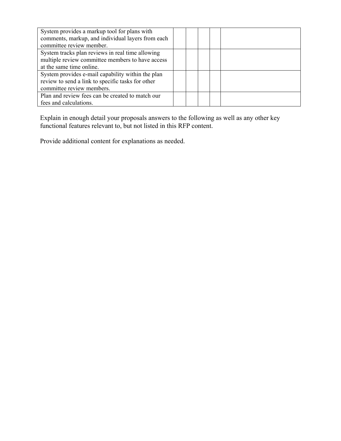| System provides a markup tool for plans with      |  |  |  |
|---------------------------------------------------|--|--|--|
| comments, markup, and individual layers from each |  |  |  |
| committee review member.                          |  |  |  |
| System tracks plan reviews in real time allowing  |  |  |  |
| multiple review committee members to have access  |  |  |  |
| at the same time online.                          |  |  |  |
| System provides e-mail capability within the plan |  |  |  |
| review to send a link to specific tasks for other |  |  |  |
| committee review members.                         |  |  |  |
| Plan and review fees can be created to match our  |  |  |  |
| fees and calculations.                            |  |  |  |

Explain in enough detail your proposals answers to the following as well as any other key functional features relevant to, but not listed in this RFP content.

Provide additional content for explanations as needed.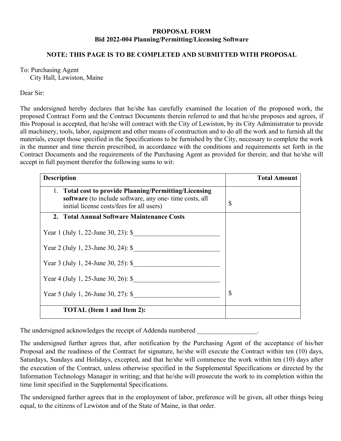### **PROPOSAL FORM Bid 2022-004 Planning/Permitting/Licensing Software**

### **NOTE: THIS PAGE IS TO BE COMPLETED AND SUBMITTED WITH PROPOSAL**

### To: Purchasing Agent

City Hall, Lewiston, Maine

### Dear Sir:

The undersigned hereby declares that he/she has carefully examined the location of the proposed work, the proposed Contract Form and the Contract Documents therein referred to and that he/she proposes and agrees, if this Proposal is accepted, that he/she will contract with the City of Lewiston, by its City Administrator to provide all machinery, tools, labor, equipment and other means of construction and to do all the work and to furnish all the materials, except those specified in the Specifications to be furnished by the City, necessary to complete the work in the manner and time therein prescribed, in accordance with the conditions and requirements set forth in the Contract Documents and the requirements of the Purchasing Agent as provided for therein; and that he/she will accept in full payment therefor the following sums to wit:

| <b>Description</b>                                                                                                                                             | <b>Total Amount</b> |
|----------------------------------------------------------------------------------------------------------------------------------------------------------------|---------------------|
| 1. Total cost to provide Planning/Permitting/Licensing<br>software (to include software, any one- time costs, all<br>initial license costs/fees for all users) | \$                  |
| 2. Total Annual Software Maintenance Costs                                                                                                                     |                     |
| Year 1 (July 1, 22-June 30, 23): \$                                                                                                                            |                     |
| Year 2 (July 1, 23-June 30, 24): $\$                                                                                                                           |                     |
| Year 3 (July 1, 24-June 30, 25): $\$                                                                                                                           |                     |
| Year 4 (July 1, 25-June 30, 26): $\$                                                                                                                           |                     |
| Year 5 (July 1, 26-June 30, 27): \$                                                                                                                            | $\mathbb{S}$        |
| <b>TOTAL</b> (Item 1 and Item 2):                                                                                                                              |                     |

The undersigned acknowledges the receipt of Addenda numbered  $\blacksquare$ 

The undersigned further agrees that, after notification by the Purchasing Agent of the acceptance of his/her Proposal and the readiness of the Contract for signature, he/she will execute the Contract within ten (10) days, Saturdays, Sundays and Holidays, excepted, and that he/she will commence the work within ten (10) days after the execution of the Contract, unless otherwise specified in the Supplemental Specifications or directed by the Information Technology Manager in writing; and that he/she will prosecute the work to its completion within the time limit specified in the Supplemental Specifications.

The undersigned further agrees that in the employment of labor, preference will be given, all other things being equal, to the citizens of Lewiston and of the State of Maine, in that order.